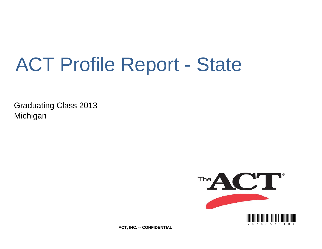# ACT Profile Report - State

Graduating Class 2013 Michigan



**ACT, INC. -- CONFIDENTIAL**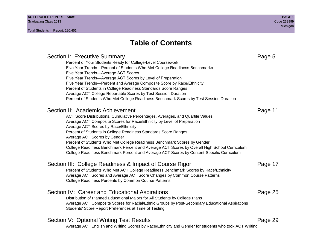## **Table of Contents**

Section I: Executive Summary **Page 5** and the section I: Executive Summary Percent of Your Students Ready for College-Level Coursework Five Year Trends—Percent of Students Who Met College Readiness Benchmarks Five Year Trends—Average ACT Scores Five Year Trends—Average ACT Scores by Level of Preparation Five Year Trends—Percent and Average Composite Score by Race/Ethnicity Percent of Students in College Readiness Standards Score Ranges Average ACT College Reportable Scores by Test Session Duration Percent of Students Who Met College Readiness Benchmark Scores by Test Session Duration Section II: Academic Achievement **Page 11** Page 11 ACT Score Distributions, Cumulative Percentages, Averages, and Quartile Values Average ACT Composite Scores for Race/Ethnicity by Level of Preparation Average ACT Scores by Race/Ethnicity Percent of Students in College Readiness Standards Score Ranges Average ACT Scores by Gender Percent of Students Who Met College Readiness Benchmark Scores by Gender College Readiness Benchmark Percent and Average ACT Scores by Overall High School Curriculum College Readiness Benchmark Percent and Average ACT Scores by Content-Specific Curriculum Section III: College Readiness & Impact of Course Rigor Page 17 Percent of Students Who Met ACT College Readiness Benchmark Scores by Race/Ethnicity Average ACT Scores and Average ACT Score Changes by Common Course Patterns College Readiness Percents by Common Course Patterns Section IV: Career and Educational Aspirations **Page 25** Page 25 Distribution of Planned Educational Majors for All Students by College Plans Average ACT Composite Scores for Racial/Ethnic Groups by Post-Secondary Educational Aspirations Students' Score Report Preferences at Time of Testing Section V: Optional Writing Test Results **Page 29** Page 29 Average ACT English and Writing Scores by Race/Ethnicity and Gender for students who took ACT Writing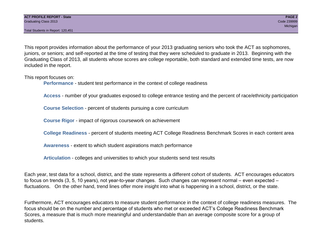Total Students in Report: 120,451

This report provides information about the performance of your 2013 graduating seniors who took the ACT as sophomores, juniors, or seniors; and self-reported at the time of testing that they were scheduled to graduate in 2013. Beginning with the Graduating Class of 2013, all students whose scores are college reportable, both standard and extended time tests, are now included in the report.

This report focuses on:

**Performance** - student test performance in the context of college readiness

**Access** - number of your graduates exposed to college entrance testing and the percent of race/ethnicity participation

**Course Selection** - percent of students pursuing a core curriculum

**Course Rigor** - impact of rigorous coursework on achievement

**College Readiness** - percent of students meeting ACT College Readiness Benchmark Scores in each content area

**Awareness** - extent to which student aspirations match performance

**Articulation** - colleges and universities to which your students send test results

Each year, test data for a school, district, and the state represents a different cohort of students. ACT encourages educators to focus on trends (3, 5, 10 years), not year-to-year changes. Such changes can represent normal – even expected – fluctuations. On the other hand, trend lines offer more insight into what is happening in a school, district, or the state.

Furthermore, ACT encourages educators to measure student performance in the context of college readiness measures. The focus should be on the number and percentage of students who met or exceeded ACT's College Readiness Benchmark Scores, a measure that is much more meaningful and understandable than an average composite score for a group of students.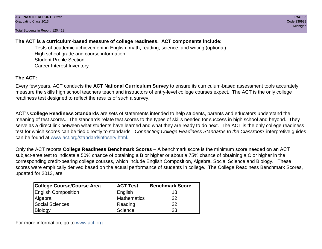Total Students in Report: 120,451

## **The ACT is a curriculum-based measure of college readiness. ACT components include:**

Tests of academic achievement in English, math, reading, science, and writing (optional) High school grade and course information Student Profile Section Career Interest Inventory

## **The ACT:**

Every few years, ACT conducts the **ACT National Curriculum Survey** to ensure its curriculum-based assessment tools accurately measure the skills high school teachers teach and instructors of entry-level college courses expect. The ACT is the only college readiness test designed to reflect the results of such a survey.

ACT's **College Readiness Standards** are sets of statements intended to help students, parents and educators understand the meaning of test scores. The standards relate test scores to the types of skills needed for success in high school and beyond. They serve as a direct link between what students have learned and what they are ready to do next. The ACT is the only college readiness test for which scores can be tied directly to standards. *Connecting College Readiness Standards to the Classroom* interpretive guides can be found at www.act.org/standard/infoserv.html.

Only the ACT reports **College Readiness Benchmark Scores** – A benchmark score is the minimum score needed on an ACT subject-area test to indicate a 50% chance of obtaining a B or higher or about a 75% chance of obtaining a C or higher in the corresponding credit-bearing college courses, which include English Composition, Algebra, Social Science and Biology. These scores were empirically derived based on the actual performance of students in college. The College Readiness Benchmark Scores, updated for 2013, are:

| College Course/Course Area | <b>ACT Test</b> | <b>Benchmark Score</b> |
|----------------------------|-----------------|------------------------|
| <b>English Composition</b> | English         | 18                     |
| Algebra                    | Mathematics     | 22                     |
| <b>Social Sciences</b>     | Reading         | 22                     |
| Biology                    | Science         | 23                     |

For more information, go to www.act.org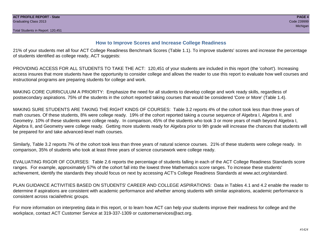### **How to Improve Scores and Increase College Readiness**

21% of your students met all four ACT College Readiness Benchmark Scores (Table 1.1). To improve students' scores and increase the percentage of students identified as college ready, ACT suggests:

PROVIDING ACCESS FOR ALL STUDENTS TO TAKE THE ACT: 120,451 of your students are included in this report (the 'cohort'). Increasing access insures that more students have the opportunity to consider college and allows the reader to use this report to evaluate how well courses and instructional programs are preparing students for college and work.

MAKING CORE CURRICULUM A PRIORITY: Emphasize the need for all students to develop college and work ready skills, regardless of postsecondary aspirations. 75% of the students in the cohort reported taking courses that would be considered 'Core or More' (Table 1.4).

MAKING SURE STUDENTS ARE TAKING THE RIGHT KINDS OF COURSES: Table 3.2 reports 4% of the cohort took less than three years of math courses. Of these students, 8% were college ready. 19% of the cohort reported taking a course sequence of Algebra I, Algebra II, and Geometry. 10% of these students were college ready. In comparison, 45% of the students who took 3 or more years of math beyond Algebra I, Algebra II, and Geometry were college ready. Getting more students ready for Algebra prior to 9th grade will increase the chances that students will be prepared for and take advanced-level math courses.

Similarly, Table 3.2 reports 7% of the cohort took less than three years of natural science courses. 21% of these students were college ready. In comparison, 35% of students who took at least three years of science coursework were college ready.

EVALUATING RIGOR OF COURSES: Table 2.6 reports the percentage of students falling in each of the ACT College Readiness Standards score ranges. For example, approximately 57% of the cohort fall into the lowest three Mathematics score ranges. To increase these students' achievement, identify the standards they should focus on next by accessing ACT's College Readiness Standards at www.act.org/standard.

PLAN GUIDANCE ACTIVITIES BASED ON STUDENTS' CAREER AND COLLEGE ASPIRATIONS: Data in Tables 4.1 and 4.2 enable the reader to determine if aspirations are consistent with academic performance and whether among students with similar aspirations, academic performance is consistent across racial/ethnic groups.

For more information on interpreting data in this report, or to learn how ACT can help your students improve their readiness for college and the workplace, contact ACT Customer Service at 319-337-1309 or customerservices@act.org.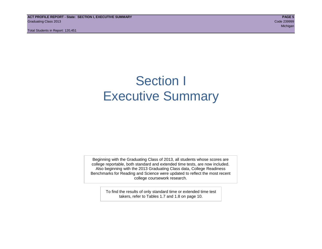**ACT PROFILE REPORT - State: SECTION I, EXECUTIVE SUMMARY PAGE 5** Graduating Class 2013 Code 239999

Total Students in Report: 120,451

michigan and the control of the control of the control of the control of the control of the control of the control of the control of the control of the control of the control of the control of the control of the control of

## Section I Executive Summary

Beginning with the Graduating Class of 2013, all students whose scores are college reportable, both standard and extended time tests, are now included. Also beginning with the 2013 Graduating Class data, College Readiness Benchmarks for Reading and Science were updated to reflect the most recent college coursework research.

> To find the results of only standard time or extended time test takers, refer to Tables 1.7 and 1.8 on page 10.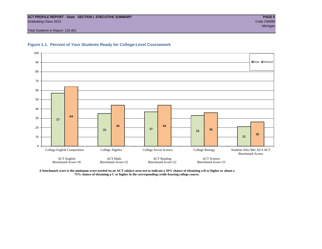#### **ACT PROFILE REPORT - State: SECTION I, EXECUTIVE SUMMARY PAGE 6** Graduating Class 2013 Code 239999

Total Students in Report: 120,451





**A benchmark score is the minimum score needed on an ACT subject-area test to indicate a 50% chance of obtaining a B or higher or about a 75% chance of obtaining a C or higher in the corresponding credit-bearing college course.**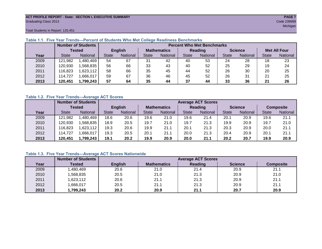#### **ACT PROFILE REPORT - State: SECTION I, EXECUTIVE SUMMARY PAGE 7** Graduating Class 2013 Code 239999

Total Students in Report: 120,451

|      |              | <b>Number of Students</b> |              | <b>Percent Who Met Benchmarks</b> |    |                    |              |          |                |          |                     |          |  |  |  |
|------|--------------|---------------------------|--------------|-----------------------------------|----|--------------------|--------------|----------|----------------|----------|---------------------|----------|--|--|--|
|      |              | <b>Tested</b>             |              | <b>English</b>                    |    | <b>Mathematics</b> | Reading      |          | <b>Science</b> |          | <b>Met All Four</b> |          |  |  |  |
| Year | <b>State</b> | <b>National</b>           | <b>State</b> | National                          |    | National           | <b>State</b> | National |                | National | <b>State</b>        | National |  |  |  |
| 2009 | 121,982      | ,480,469                  | 54           | 67                                | 31 | 42                 | 40           | 53       | 24             | 28       | 18                  | 23       |  |  |  |
| 2010 | 120,930      | .568.835                  | 56           | 66                                | 33 | 43                 | 40           | 52       | 25             | 29       | 19                  | 24       |  |  |  |
| 2011 | 16,823       | 623,112                   | 58           | 66                                | 35 | 45                 | 44           | 52       | 26             | 30       | 20                  | 25       |  |  |  |
| 2012 | 114,727      | .666,017                  | 59           | 67                                | 36 | 46                 | 45           | 52       | 26             | 31       | 21                  | 25       |  |  |  |
| 2013 | 120,451      | 1,799,243                 | 57           | 64                                | 35 | 44                 | 37           | 44       | 33             | 36       | 21                  | 26       |  |  |  |

#### **Table 1.1. Five Year Trends—Percent of Students Who Met College Readiness Benchmarks**

#### **Table 1.2. Five Year Trends—Average ACT Scores**

|      |              | <b>Number of Students</b> |              |                 |      | <b>Average ACT Scores</b> |                |          |                |          |                  |          |  |  |  |
|------|--------------|---------------------------|--------------|-----------------|------|---------------------------|----------------|----------|----------------|----------|------------------|----------|--|--|--|
|      |              | Tested                    |              | <b>English</b>  |      | <b>Mathematics</b>        | <b>Reading</b> |          | <b>Science</b> |          | <b>Composite</b> |          |  |  |  |
| Year | <b>State</b> | <b>National</b>           | <b>State</b> | <b>National</b> |      | National                  | <b>State</b>   | National |                | National | <b>State</b>     | National |  |  |  |
| 2009 | 121,982      | .480.469                  | 18.6         | 20.6            | 19.6 | 21.0                      | 19.6           | 21.4     | 20.1           | 20.9     | 19.6             | 21.1     |  |  |  |
| 2010 | 120,930      | .568.835                  | 18.9         | 20.5            | 19.7 | 21.0                      | 19.7           | 21.3     | 19.9           | 20.9     | 19.7             | 21.0     |  |  |  |
| 2011 | 116,823      | .623,112                  | 19.3         | 20.6            | 19.9 | 21.1                      | 20.1           | 21.3     | 20.3           | 20.9     | 20.0             | 21.1     |  |  |  |
| 2012 | 114,727      | .666.017                  | 19.3         | 20.5            | 20.1 | 21.1                      | 20.0           | 21.3     | 20.4           | 20.9     | 20.1             | 21.1     |  |  |  |
| 2013 | 120,451      | 1,799,243                 | 19.1         | 20.2            | 19.9 | 20.9                      | 20.0           | 21.1     | 20.2           | 20.7     | 19.9             | 20.9     |  |  |  |

#### **Table 1.3. Five Year Trends—Average ACT Scores Nationwide**

|      | <b>Number of Students</b> |                |                    | <b>Average ACT Scores</b> |                |                  |
|------|---------------------------|----------------|--------------------|---------------------------|----------------|------------------|
| Year | Tested                    | <b>English</b> | <b>Mathematics</b> | Reading                   | <b>Science</b> | <b>Composite</b> |
| 2009 | ,480,469                  | 20.6           | 21.0               | 21.4                      | 20.9           | 21.1             |
| 2010 | ,568,835                  | 20.5           | 21.0               | 21.3                      | 20.9           | 21.0             |
| 2011 | ,623,112                  | 20.6           | 21.1               | 21.3                      | 20.9           | 21.1             |
| 2012 | ,666,017                  | 20.5           | 21.1               | 21.3                      | 20.9           | 21.1             |
| 2013 | ,799,243                  | 20.2           | 20.9               | 21.1                      | 20.7           | 20.9             |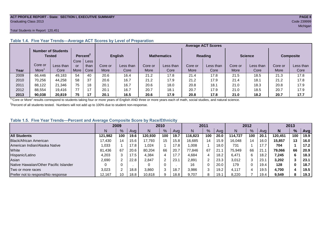#### **ACT PROFILE REPORT - State: SECTION I, EXECUTIVE SUMMARY PAGE 8** Graduating Class 2013 Code 239999

#### Total Students in Report: 120,451

|      |         | <b>Number of Students</b><br><b>Tested</b> |      | Percent <sup>2</sup> |             | <b>English</b> |         | <b>Mathematics</b> |         | <b>Reading</b> | <b>Science</b> |           | <b>Composite</b> |           |
|------|---------|--------------------------------------------|------|----------------------|-------------|----------------|---------|--------------------|---------|----------------|----------------|-----------|------------------|-----------|
|      |         |                                            | Core | <b>Less</b>          |             |                |         |                    |         |                |                |           |                  |           |
|      | Core or | Less than                                  | or   | than                 | Core or     | Less than      | Core or | Less than          | Core or | Less than      | Core or        | Less than | Core or          | Less than |
| Year | More    | Core                                       | More | Core                 | <b>More</b> | Core           | More    | Core               | More    | Core           | More           | Core      | <b>More</b>      | Core      |
| 2009 | 66.446  | 49,183                                     | 54   | 40                   | 20.6        | 16.4           | 21.2    | 17.8               | 21.4    | 17.8           | 21.5           | 18.5      | 21.3             | 17.8      |
| 2010 | 70.256  | 44.258                                     | 58   | 37                   | 20.6        | 16.7           | 21.2    | 17.9               | 21.2    | 17.9           | 21.4           | 18.1      | 21.2             | 17.8      |
| 2011 | 88.122  | 21.346                                     | 75   | 18                   | 20.1        | 16.7           | 20.6    | 18.0               | 20.8    | 18.1           | 21.0           | 18.3      | 20.8             | 17.9      |
| 2012 | 88,554  | 19.416                                     | 77   | 17                   | 20.1        | 16.7           | 20.7    | 18.7               | 20.7    | 17.9           | 21.0           | 18.5      | 20.7             | 17.9      |
| 2013 | 90.038  | 20.819                                     | 75   | 17                   | 20.1        | 16.5           | 20.6    | 17.9               | 20.8    | 17.8           | 21.0           | 18.2      | 20.7             | 17.7      |

### **Table 1.4. Five Year Trends—Average ACT Scores by Level of Preparation**

<sup>1</sup>"Core or More" results correspond to students taking four or more years of English AND three or more years each of math, social studies, and natural science.

 $2$ Percent of all students tested. Numbers will not add up to 100% due to student non-response.

#### **Table 1.5. Five Year Trends—Percent and Average Composite Score by Race/Ethnicity**

|                                        | 2009    |      |      |         | 2010   |      |         | 2011 |      |         | 2012 |      |         | 2013 |      |  |
|----------------------------------------|---------|------|------|---------|--------|------|---------|------|------|---------|------|------|---------|------|------|--|
|                                        | N       | $\%$ | Avg  | N       | %      | Avg  | N       | %    | Avg  | Ν       | %    | Ava  | N       | $\%$ | Avg  |  |
| <b>All Students</b>                    | 121.982 | 100  | 19.6 | 120.930 | 100    | 19.7 | 116.823 | 100  | 20.0 | 114.727 | 100  | 20.1 | 120.451 | 100  | 19.9 |  |
| Black/African American                 | 17.430  | 14   | 15.6 | 17.793  | 15     | 15.8 | 16,685  | 14   | 15.9 | 16.048  | 14   | 16.0 | 15,857  | 13   | 16.0 |  |
| American Indian/Alaska Native          | 1.033   |      | 17.8 | 1,024   |        | 17.8 | 008     |      | 18.0 | 731     |      |      | 704     |      | 17.2 |  |
| White                                  | 81.436  | 67   | 20.6 | 80.204  | 66     | 20.7 | 77.846  | 67   | 21.  | 75.949  | 66   | 21.  | 79.066  | 66   | 20.9 |  |
| Hispanic/Latino                        | 4.203   |      | 17.5 | 4,384   |        | 17.7 | 4,684   |      | 18.2 | 6.471   | 6    | 18.2 | 7,245   | 6.   | 18.3 |  |
| Asian                                  | 2,690   |      | 22.8 | 2,847   | $\sim$ | 23.1 | 2,891   | 2    | 23.3 | 3,012   | 3    | 23.7 | 3,202   |      | 23.1 |  |
| Native Hawaiian/Other Pacific Islander |         |      |      |         | 0      |      | 16      | 0    | 20.0 | 179     | 0    | 19.4 | 128     | 0    | 18.7 |  |
| Two or more races                      | 3.023   |      | 18.8 | 3,860   | 3      | 18.7 | 3,986   | 3    | 19.2 | 4.117   | 4    | 19.5 | 4,700   |      | 19.5 |  |
| Prefer not to respond/No response      | 12,167  | 10   | 18.8 | 10,818  | 9      | 18.8 | 9,707   | 8    | 19.1 | 8,220   |      | 19.4 | 9,549   | 8    | 19.3 |  |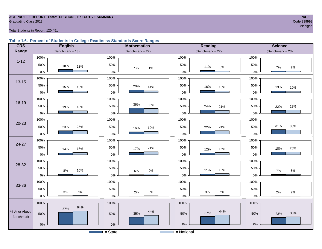## **ACT PROFILE REPORT - State: SECTION I, EXECUTIVE SUMMARY PAGE 9** Graduating Class 2013 Code 239999

michigan and the control of the control of the control of the control of the control of the control of the control of the control of the control of the control of the control of the control of the control of the control of

#### Total Students in Report: 120,451

#### **Table 1.6. Percent of Students in College Readiness Standards Score Ranges**

| <b>CRS</b>    | <b>English</b>         | <b>Mathematics</b>    | <b>Reading</b>      | <b>Science</b>       |
|---------------|------------------------|-----------------------|---------------------|----------------------|
| Range         | (Benchmark = $18$ )    | (Benchmark = $22$ )   | (Benchmark = $22$ ) | $(Benchmark = 23)$   |
|               | 100%                   | 100%                  | 100%                | 100%                 |
| $1 - 12$      | 50%<br>18%<br>13%      | 50%<br>$1\%$<br>$1\%$ | 50%<br>11%<br>8%    | 50%<br>7%<br>7%      |
|               | $0\%$                  | $0\%$                 | $0\%$               | $0\%$                |
| $13 - 15$     | 100%                   | 100%                  | 100%                | 100%                 |
|               | 50%<br>15%<br>13%      | 50%<br>20%<br>14%     | 50%<br>16%<br>13%   | 50%<br>13%<br>10%    |
|               | $0\%$                  | $0\%$                 | $0\%$               | $0\%$                |
|               | 100%                   | 100%                  | 100%                | 100%                 |
| 16-19         | 50%<br>19%<br>18%      | 36%<br>33%<br>50%     | 50%<br>24%<br>21%   | 50%<br>22%<br>23%    |
|               | $0\%$                  | 0%                    | $0\%$               | $0\%$                |
|               | 100%                   | 100%                  | 100%                | 100%                 |
| $20 - 23$     | 50%<br>25%<br>23%      | 50%<br>19%<br>16%     | 50%<br>24%<br>22%   | 31%<br>$30\%$<br>50% |
|               | $0\%$                  | 0%                    | $0\%$               | $0\%$                |
|               | 100%                   | 100%                  | 100%                | 100%                 |
| 24-27         | 50%<br>16%<br>14%      | 50%<br>21%<br>17%     | 50%<br>15%<br>12%   | 50%<br>20%<br>18%    |
|               | $0\%$                  | 0%                    | $0\%$               | 0%                   |
|               | 100%                   | 100%                  | 100%                | 100%                 |
| 28-32         | 50%<br>10%<br>8%       | 50%<br>$9\%$<br>6%    | 50%<br>13%<br>11%   | 50%<br>7%<br>$8\%$   |
|               | $0\%$                  | $0\%$                 | $0\%$               | $0\%$                |
|               | 100%                   | 100%                  | 100%                | 100%                 |
| 33-36         | 50%                    | 50%                   | $50\%$              | 50%                  |
|               | $5\%$<br>$3%$<br>$0\%$ | $3%$<br>2%<br>$0\%$   | 5%<br>$3%$<br>$0\%$ | 2%<br>2%<br>$0\%$    |
|               | 100%                   | 100%                  | 100%                | 100%                 |
| % At or Above | 64%<br>57%             | 44%                   | 44%                 |                      |
| Benchmark     | 50%                    | 35%<br>50%            | 37%<br>50%          | 36%<br>50%<br>33%    |
|               | $0\%$                  | 0%                    | $0\%$               | $0\%$                |
|               |                        | $=$ State             | $=$ National        |                      |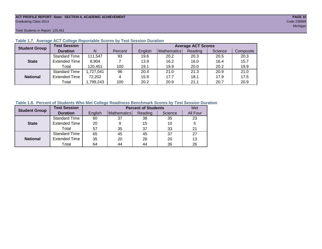#### **ACT PROFILE REPORT- State: SECTION II, ACADEMIC ACHIEVEMENT PAGE 10** Graduating Class 2013 Code 239999

Total Students in Report: 120,451

| <b>Student Group</b> | <b>Test Session</b>  |           |         |         |             | <b>Average ACT Scores</b> |         |           |
|----------------------|----------------------|-----------|---------|---------|-------------|---------------------------|---------|-----------|
|                      | <b>Duration</b>      | N         | Percent | English | Mathematics | Reading                   | Science | Composite |
|                      | <b>Standard Time</b> | 111,547   | 93      | 19.6    | 20.2        | 20.3                      | 20.5    | 20.3      |
| <b>State</b>         | <b>Extended Time</b> | 8,904     |         | 13.9    | 16.2        | 16.0                      | 16.4    | 15.7      |
|                      | Total                | 120,451   | 100     | 19.1    | 19.9        | 20.0                      | 20.2    | 19.9      |
|                      | <b>Standard Time</b> | 1,727,041 | 96      | 20.4    | 21.0        | 21.3                      | 20.9    | 21.0      |
| <b>National</b>      | <b>Extended Time</b> | 72,202    | 4       | 15.9    | 17.7        | 18.1                      | 17.9    | 17.5      |
|                      | Total                | ,799,243  | 100     | 20.2    | 20.9        | 21.1                      | 20.7    | 20.9      |

#### **Table 1.7. Average ACT College Reportable Scores by Test Session Duration**

#### **Table 1.8. Percent of Students Who Met College Readiness Benchmark Scores by Test Session Duration**

| <b>Student Group</b> | <b>Test Session</b>  |         |             | <b>Percent of Students</b> |         | Met      |
|----------------------|----------------------|---------|-------------|----------------------------|---------|----------|
|                      | <b>Duration</b>      | English | Mathematics | Reading                    | Science | All Four |
|                      | <b>Standard Time</b> | 60      | 37          | 38                         | 35      | 23       |
| <b>State</b>         | <b>Extended Time</b> | 20      | 9           | 15                         | 10      | 5        |
|                      | Total                | 57      | 35          | 37                         | 33      | 21       |
|                      | <b>Standard Time</b> | 65      | 45          | 45                         | 37      | 27       |
| <b>National</b>      | <b>Extended Time</b> | 35      | 20          | 28                         | 20      | 13       |
|                      | Total                | 64      | 44          | 44                         | 36      | 26       |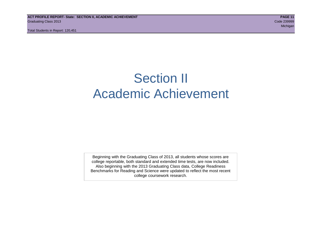Total Students in Report: 120,451

## Section II Academic Achievement

Beginning with the Graduating Class of 2013, all students whose scores are college reportable, both standard and extended time tests, are now included. Also beginning with the 2013 Graduating Class data, College Readiness Benchmarks for Reading and Science were updated to reflect the most recent college coursework research.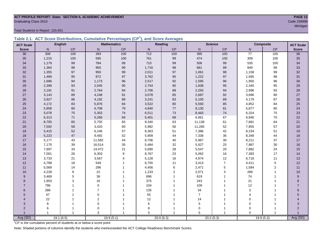## **ACT PROFILE REPORT- State: SECTION II, ACADEMIC ACHIEVEMENT PAGE 12** Graduating Class 2013 Code 239999

Total Students in Report: 120,451

|  | Table 2.1. ACT Score Distributions, Cumulative Percentages (CP <sup>1</sup> ), and Score Averages |  |  |  |
|--|---------------------------------------------------------------------------------------------------|--|--|--|
|  |                                                                                                   |  |  |  |

| <b>ACT Scale</b> |       | <b>English</b> |                | <b>Mathematics</b>      |           | Reading        |                | <b>Science</b> |                 | Composite<br><b>ACT Scale</b> |                |
|------------------|-------|----------------|----------------|-------------------------|-----------|----------------|----------------|----------------|-----------------|-------------------------------|----------------|
| <b>Score</b>     | N     | CP             | $\mathsf{N}$   | $\mathsf{CP}$           | ${\sf N}$ | $\mathsf{CP}$  | ${\sf N}$      | CP             | N               | CP                            | <b>Score</b>   |
| 36               | 308   | 100            | 393            | 100                     | 712       | 100            | 395            | 100            | $\overline{77}$ | 100                           | 36             |
| 35               | 1,215 | 100            | 595            | 100                     | 761       | 99             | 474            | 100            | 309             | 100                           | 35             |
| 34               | 1,179 | 99             | 784            | 99                      | 710       | 99             | 506            | 99             | 535             | 100                           | 34             |
| 33               | 1,364 | 98             | 950            | 99                      | 1,716     | 98             | 681            | 99             | 849             | 99                            | 33             |
| 32               | 1,355 | 97             | 950            | 98                      | 2,011     | 97             | 1,061          | 98             | 1,158           | 99                            | 32             |
| 31               | 1,469 | 95             | 872            | 97                      | 3,762     | 95             | 1,222          | 97             | 1,565           | 98                            | 31             |
| 30               | 1,686 | 94             | 1,173          | 96                      | 2,517     | 92             | 1,595          | 96             | 1,950           | 96                            | 30             |
| 29               | 2,399 | 93             | 2,045          | 95                      | 2,754     | 90             | 1,838          | 95             | 2,340           | 95                            | 29             |
| 28               | 2,191 | 91             | 2,764          | 94                      | 2,706     | 88             | 2,250          | 94             | 2,996           | 93                            | 28             |
| 27               | 3,143 | 89             | 4,248          | 91                      | 3,078     | 85             | 2,687          | 92             | 3,696           | 90                            | 27             |
| 26               | 3,827 | 86             | 4,192          | 88                      | 3,241     | 83             | 5,100          | 89             | 4,179           | 87                            | 26             |
| 25               | 4,172 | 83             | 5,876          | 84                      | 3,522     | 80             | 5,593          | 85             | 4,852           | 84                            | 25             |
| 24               | 5,858 | 80             | 6,708          | 79                      | 4,840     | 77             | 8,130          | 81             | 5,877           | 80                            | 24             |
| 23               | 5,078 | 75             | 5,353          | 74                      | 6,511     | 73             | 8,463          | $74\,$         | 6,324           | 75                            | 23             |
| 22               | 6,313 | 71             | 5,266          | 69                      | 5,401     | 68             | 6,861          | 67             | 6,946           | $70\,$                        | 22             |
| 21               | 8,705 | 65             | 5,755          | 65                      | 8,340     | 63             | 11,139         | 61             | 7,681           | 64                            | 21             |
| 20               | 7,592 | 58             | 3,420          | 60                      | 5,982     | 56             | 11,266         | 52             | 7,955           | 57                            | 20             |
| 19               | 5,415 | 52             | 6,246          | 57                      | 8,363     | 51             | 7,386          | 42             | 8,234           | 51                            | 19             |
| 18               | 5,223 | 47             | 9,492          | 52                      | 5,909     | 44             | 7,336          | 36             | 8,349           | 44                            | 18             |
| 17               | 5,177 | 43             | 11,582         | 44                      | 8,706     | 40             | 5,967          | 30             | 8,211           | 37                            | 17             |
| 16               | 7,175 | 39             | 16,514         | 35                      | 5,484     | 32             | 5,927          | 25             | 7,987           | 30                            | 16             |
| 15               | 7,697 | 33             | 14,472         | 21                      | 5,690     | 28             | 5,547          | 20             | 7,882           | 24                            | 15             |
| 14               | 7,001 | 26             | 6,303          | $\boldsymbol{9}$        | 8,767     | 23             | 5,062          | $16\,$         | 7,383           | 17                            | 14             |
| 13               | 3,733 | 21             | 3,567          | $\overline{\mathbf{4}}$ | 5,128     | 16             | 4,974          | 12             | 6,718           | 11                            | 13             |
| 12               | 4,789 | 18             | 549            | $\overline{1}$          | 6,755     | 11             | 3,413          | $\overline{7}$ | 4,411           | $\mathbf 5$                   | 12             |
| 11               | 5,569 | 14             | 296            |                         | 4,456     | 6              | 2,471          | 5              | 1,584           | $\overline{2}$                | 11             |
| 10               | 4,228 | 9              | 22             |                         | 1,233     | $\overline{2}$ | 2,071          | 3              | 289             | 1                             | 10             |
| 9                | 3,469 | 5              | 36             |                         | 696       |                | 619            |                | 74              |                               | 9              |
| 8                | 1,953 | 3              | 16             |                         | 375       |                | 243            |                | 21              |                               | 8              |
| 7                | 796   |                | $\mathbf 0$    |                         | 104       |                | 109            |                | 12              |                               | $\overline{7}$ |
| 6                | 288   |                | $\overline{7}$ |                         | 135       |                | 34             |                | $\mathsf 3$     |                               | $6\phantom{1}$ |
| 5                | 47    |                | $\mathbf 0$    |                         | 55        |                | $\overline{7}$ |                |                 |                               | 5              |
| 4                | 22    |                | $\overline{c}$ |                         | 12        |                | 14             |                | $\Omega$        |                               |                |
| 3                | 8     |                | $\mathbf 0$    |                         | 6         |                | 5              |                | $\mathbf 0$     |                               | 3              |
| $\overline{2}$   | 6     | 1              | $\mathbf 0$    |                         | 8         |                | $\Omega$       | 1              | $\Omega$        | 1                             | 2              |
|                  |       | $\mathbf{1}$   | 3              |                         | 5         |                | 5              |                | $\Omega$        | $\mathbf{1}$                  |                |
| Avg (SD)         |       | 19.1(6.5)      |                | 19.9(5.1)               |           | 20.0(6.3)      |                | 20.2(5.3)      |                 | 19.9(5.3)                     | Avg (SD)       |

michigan and the control of the control of the control of the control of the control of the control of the control of the control of the control of the control of the control of the control of the control of the control of

<sup>1</sup>CP is the cumulative percent of students at or below a score point.

Note: Shaded portions of columns identify the students who met/exceeded the ACT College Readiness Benchmark Scores.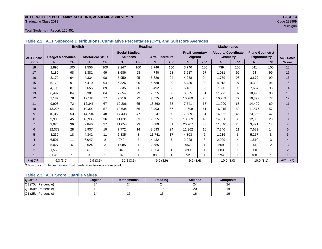#### **ACT PROFILE REPORT- State: SECTION II, ACADEMIC ACHIEVEMENT PAGE 13** Graduating Class 2013 Code 239999

#### Total Students in Report: 120,451

|                  |                         |           | <b>English</b>           |     | <b>Reading</b>         |                |                        |           | <b>Mathematics</b>    |                |                            |     |                        |                |                  |
|------------------|-------------------------|-----------|--------------------------|-----|------------------------|----------------|------------------------|-----------|-----------------------|----------------|----------------------------|-----|------------------------|----------------|------------------|
|                  |                         |           |                          |     | <b>Social Studies/</b> |                |                        |           | <b>Pre/Elementary</b> |                | <b>Algebra/ Coordinate</b> |     | <b>Plane Geometry/</b> |                |                  |
| <b>ACT Scale</b> | <b>Usage/ Mechanics</b> |           | <b>Rhetorical Skills</b> |     | <b>Sciences</b>        |                | <b>Arts/Literature</b> |           | Algebra               |                | Geometry                   |     | <b>Trigonometry</b>    |                | <b>ACT Scale</b> |
| <b>Score</b>     | N.                      | <b>CP</b> | N                        | CP  | N.                     | <b>CP</b>      | N <sub>1</sub>         | <b>CP</b> | N.                    | <b>CP</b>      | N.                         | CP  | N.                     | CP             | <b>Score</b>     |
| 18               | 2,890                   | 100       | 1,556                    | 100 | 2,247                  | 100            | 2.746                  | 100       | 3.740                 | 100            | 739                        | 100 | 841                    | 100            | 18               |
| 17               | 4,182                   | 98        | 1,381                    | 99  | 3,686                  | 98             | 4.740                  | 98        | 3,617                 | 97             | 1,081                      | 99  | 94                     | 99             | 17               |
| 16               | 3.170                   | 94        | 4,334                    | 98  | 5,950                  | 95             | 5.826                  | 94        | 4,088                 | 94             | 1.779                      | 98  | 3.679                  | 99             | 16               |
| 15               | 5.173                   | 91        | 6.410                    | 94  | 5,326                  | 90             | 6.688                  | 89        | 5,480                 | 90             | 4,918                      | 97  | 4,398                  | 96             | 15               |
| 14               | 4,196                   | 87        | 5,655                    | 89  | 8,335                  | 86             | 3.492                  | 83        | 5,481                 | 86             | 7,590                      | 93  | 7,634                  | 93             | 14               |
| 13               | 6,492                   | 84        | 8,301                    | 84  | 7,654                  | 79             | 7.355                  | 80        | 6,565                 | 81             | 11.771                     | 87  | 10.495                 | 86             | 13               |
| 12               | 7,187                   | 78        | 12,188                   | 77  | 9,216                  | 72             | 7,575                  | 74        | 10,789                | 76             | 10.769                     | 77  | 10,397                 | 77             | 12               |
| 11               | 9,908                   | 72        | 12,346                   | 67  | 10,206                 | 65             | 13,360                 | 68        | 7,541                 | 67             | 11,990                     | 68  | 14,499                 | 69             | 11               |
| 10               | 13,225                  | 64        | 10,392                   | 57  | 10,634                 | 56             | 8,493                  | 57        | 11,698                | 61             | 16,015                     | 58  | 11,577                 | 57             | 10               |
| 9                | 10,353                  | 53        | 14,704                   | 48  | 17,433                 | 47             | 13,247                 | 50        | 7,589                 | 51             | 14,652                     | 45  | 23,656                 | 47             | 9                |
| 8                | 9,930                   | 45        | 10.936                   | 36  | 11.831                 | 33             | 9.655                  | 39        | 13,869                | 45             | 14.830                     | 33  | 12,883                 | 28             | 8                |
| $\overline{7}$   | 9,928                   | 36        | 9.846                    | 27  | 11,054                 | 23             | 8.689                  | 31        | 20,207                | 33             | 11,046                     | 20  | 3,421                  | 17             | $\overline{7}$   |
| 6                | 12,379                  | 28        | 8,937                    | 19  | 7,772                  | 14             | 8.693                  | 24        | 11,362                | 16             | 7,340                      | 11  | 7,689                  | 14             | 6                |
| 5                | 8,232                   | 18        | 4,342                    | 11  | 6,835                  | 8              | 11.741                 | 17        | 4,803                 | $\overline{7}$ | 1,216                      | 5   | 5,257                  | 8              | 5                |
| 4                | 6,501                   | 11        | 6,047                    | 8   | 749                    | $\overline{2}$ | 4.432                  | 7         | 2,228                 | 3              | 2,929                      | 4   | 1,510                  | 3              |                  |
| 3                | 5,027                   | 6         | 2,624                    | 3   | 1,085                  | 1              | 2,585                  | 3         | 952                   | 1              | 609                        | 1   | 1,413                  | $\overline{2}$ | 3                |
| 2                | 1,558                   |           | 398                      |     | 349                    |                | 1,054                  | 1         | 390                   | 1              | 883                        |     | 600                    |                | $\overline{2}$   |
|                  | 120                     |           | 54                       |     | 89                     |                | 80                     |           | 52                    |                | 294                        |     | 408                    |                |                  |
| Avg (SD)         | 9.3(3.9)                |           | 9.9(3.5)                 |     | 10.3(3.5)              |                | 9.9(3.9)               |           | 9.9(3.6)              |                | 10.0(3.0)                  |     | 10.0(3.1)              |                | Avg (SD)         |

**Table 2.2. ACT Subscore Distributions, Cumulative Percentages (CP<sup>1</sup> ), and Subscore Averages**

 $1$ <sup>-1</sup>CP is the cumulative percent of students at or below a score point.

#### **Table 2.3. ACT Score Quartile Values**

| <b>Quartile</b>      | <b>English</b> | <b>Mathematics</b> | Reading      | <b>Science</b> | Composite |
|----------------------|----------------|--------------------|--------------|----------------|-----------|
| Q3 (75th Percentile) | 24             | 24                 | $\sim$<br>24 | 24             | 24        |
| Q2 (50th Percentile) |                |                    |              | 20             | 19        |
| Q1 (25th Percentile) |                |                    |              | 16             | 16        |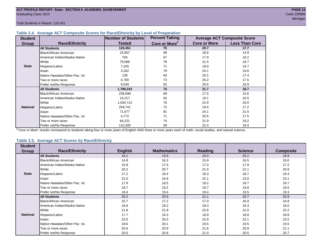Total Students in Report: 120,451

#### **Table 2.4. Average ACT Composite Scores for Race/Ethnicity by Level of Preparation**

| <b>Student</b>  |                                 | <b>Number of Students</b> | <b>Percent Taking</b>     |                     | <b>Average ACT Composite Score</b> |
|-----------------|---------------------------------|---------------------------|---------------------------|---------------------|------------------------------------|
| <b>Group</b>    | <b>Race/Ethnicity</b>           | <b>Tested</b>             | Core or More <sup>1</sup> | <b>Core or More</b> | <b>Less Than Core</b>              |
|                 | <b>All Students</b>             | 120,451                   | 75                        | 20.7                | 17.7                               |
|                 | Black/African American          | 15,857                    | 68                        | 16.6                | 14.9                               |
|                 | American Indian/Alaska Native   | 704                       | 67                        | 17.9                | 16.2                               |
|                 | <b>White</b>                    | 79,066                    | 78                        | 21.5                | 18.7                               |
| <b>State</b>    | Hispanic/Latino                 | 7,245                     | 71                        | 19.0                | 16.7                               |
|                 | Asian                           | 3,202                     | 79                        | 24.1                | 19.6                               |
|                 | Native Hawaiian/Other Pac. Isl. | 128                       | 63                        | 20.1                | 17.4                               |
|                 | I Two or more races             | 4,700                     | 73                        | 20.2                | 17.5                               |
|                 | Prefer not/No Response          | 9,549                     | 62                        | 20.6                | 16.9                               |
|                 | <b>All Students</b>             | 1,799,243                 | 74                        | 21.7                | 18.7                               |
|                 | Black/African American          | 239,598                   | 69                        | 17.5                | 15.6                               |
|                 | American Indian/Alaska Native   | 14,217                    | 62                        | 19.1                | 16.5                               |
|                 | <b>White</b>                    | 1,034,712                 | 76                        | 22.9                | 20.0                               |
| <b>National</b> | Hispanic/Latino                 | 259,741                   | 72                        | 19.5                | 17.2                               |
|                 | Asian                           | 71,677                    | 81                        | 24.1                | 21.5                               |
|                 | Native Hawaiian/Other Pac. Isl. | 4,772                     | 71                        | 20.5                | 17.5                               |
|                 | I Two or more races             | 64,221                    | 74                        | 21.9                | 19.2                               |
|                 | Prefer not/No Response          | 110,305                   | 58                        | 22.4                | 18.4                               |

<sup>1</sup>"Core or More" results correspond to students taking four or more years of English AND three or more years each of math, social studies, and natural science.

#### **Table 2.5. Average ACT Scores by Race/Ethnicity**

| <b>Student</b>  |                                 |                |                    |                |                |                  |
|-----------------|---------------------------------|----------------|--------------------|----------------|----------------|------------------|
| <b>Group</b>    | <b>Race/Ethnicity</b>           | <b>English</b> | <b>Mathematics</b> | <b>Reading</b> | <b>Science</b> | <b>Composite</b> |
|                 | <b>All Students</b>             | 19.1           | 19.9               | 20.0           | 20.2           | 19.9             |
|                 | Black/African American          | 14.8           | 16.3               | 15.9           | 16.5           | 16.0             |
|                 | American Indian/Alaska Native   | 15.8           | 17.5               | 17.3           | 17.9           | 17.2             |
|                 | White                           | 20.2           | 20.7               | 21.0           | 21.1           | 20.9             |
| <b>State</b>    | Hispanic/Latino                 | 17.2           | 18.4               | 18.3           | 18.7           | 18.3             |
|                 | Asian                           | 22.0           | 24.6               | 22.1           | 23.0           | 23.1             |
|                 | Native Hawaiian/Other Pac. Isl. | 17.9           | 18.5               | 19.2           | 18.7           | 18.7             |
|                 | Two or more races               | 18.7           | 19.2               | 19.7           | 19.8           | 19.5             |
|                 | Prefer not/No Response          | 18.4           | 19.4               | 19.4           | 19.5           | 19.3             |
|                 | <b>All Students</b>             | 20.2           | 20.9               | 21.1           | 20.7           | 20.9             |
|                 | Black/African American          | 15.7           | 17.2               | 17.0           | 16.9           | 16.9             |
|                 | American Indian/Alaska Native   | 16.6           | 18.2               | 18.3           | 18.3           | 18.0             |
|                 | White                           | 21.8           | 21.9               | 22.6           | 22.0           | 22.2             |
| <b>National</b> | Hispanic/Latino                 | 17.7           | 19.3               | 18.9           | 18.8           | 18.8             |
|                 | Asian                           | 22.5           | 25.0               | 22.9           | 23.1           | 23.5             |
|                 | Native Hawaiian/Other Pac. Isl. | 18.6           | 20.1               | 19.5           | 19.5           | 19.5             |
|                 | Two or more races               | 20.6           | 20.9               | 21.6           | 20.9           | 21.1             |
|                 | Prefer not/No Response          | 20.0           | 20.8               | 21.0           | 20.5           | 20.7             |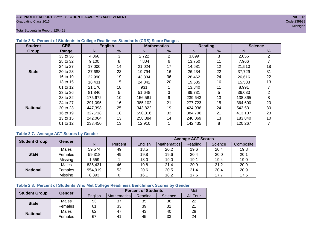#### **ACT PROFILE REPORT- State: SECTION II, ACADEMIC ACHIEVEMENT PAGE 15** Graduating Class 2013 Code 239999

Total Students in Report: 120,451

| <b>Student</b>  | <b>CRS</b> |         | <b>English</b> |         | <b>Mathematics</b> |         | Reading | <b>Science</b> |    |  |
|-----------------|------------|---------|----------------|---------|--------------------|---------|---------|----------------|----|--|
| Group           | Range      | N       | %              | N       | %                  | N       | %       | N              | %  |  |
|                 | 33 to 36   | 4,066   | 3              | 2,722   | $\overline{2}$     | 3,899   | 3       | 2,056          | 2  |  |
|                 | 28 to 32   | 9,100   | 8              | 7,804   | 6                  | 13,750  | 11      | 7,966          |    |  |
|                 | 24 to 27   | 17,000  | 14             | 21,024  | 17                 | 14,681  | 12      | 21,510         | 18 |  |
| <b>State</b>    | 20 to 23   | 27,688  | 23             | 19,794  | 16                 | 26,234  | 22      | 37.729         | 31 |  |
|                 | 16 to 19   | 22,990  | 19             | 43,834  | 36                 | 28,462  | 24      | 26,616         | 22 |  |
|                 | 13 to 15   | 18,431  | 15             | 24,342  | 20                 | 19,585  | 16      | 15,583         | 13 |  |
|                 | 01 to 12   | 21,176  | 18             | 931     |                    | 13.840  | 11      | 8.991          |    |  |
|                 | 33 to 36   | 81,846  | 5              | 51,648  | 3                  | 89,731  | 5       | 36,033         | 2  |  |
|                 | 28 to 32   | 175,672 | 10             | 156,561 | 9                  | 239,643 | 13      | 138,865        | 8  |  |
|                 | 24 to 27   | 291.095 | 16             | 385,102 | 21                 | 277.723 | 15      | 364,600        | 20 |  |
| <b>National</b> | 20 to 23   | 447,398 | 25             | 343,822 | 19                 | 424,936 | 24      | 542.531        | 30 |  |
|                 | 16 to 19   | 327,718 | 18             | 590.816 | 33                 | 384.706 | 21      | 413,107        | 23 |  |
|                 | 13 to 15   | 242,064 | 13             | 258,384 | 14                 | 240,069 | 13      | 183,840        | 10 |  |
|                 | 01 to 12   | 233,450 | 13             | 12,910  |                    | 142,435 | 8       | 120,267        |    |  |

#### **Table 2.6. Percent of Students in College Readiness Standards (CRS) Score Ranges**

#### **Table 2.7. Average ACT Scores by Gender**

| <b>Student Group</b> | <b>Gender</b> |         |         | <b>Average ACT Scores</b> |             |         |         |           |  |  |  |  |
|----------------------|---------------|---------|---------|---------------------------|-------------|---------|---------|-----------|--|--|--|--|
|                      |               | N       | Percent | Enalish                   | Mathematics | Reading | Science | Composite |  |  |  |  |
|                      | Males         | 59,574  | 49      | 18.5                      | 20.2        | 19.6    | 20.4    | 19.8      |  |  |  |  |
| <b>State</b>         | Females       | 59,318  | 49      | 19.8                      | 19.6        | 20.4    | 20.0    | 20.1      |  |  |  |  |
|                      | Missing       | 1.559   |         | 18.0                      | 19.0        | 19.1    | 19.4    | 19.0      |  |  |  |  |
|                      | Males         | 835,431 | 46      | 19.8                      | 21.4        | 20.9    | 21.2    | 20.9      |  |  |  |  |
| <b>National</b>      | Females       | 954,919 | 53      | 20.6                      | 20.5        | 21.4    | 20.4    | 20.9      |  |  |  |  |
|                      | Missing       | 8,893   |         | 16.1                      | 18.2        | 17.6    | 17.7    | 17.5      |  |  |  |  |

#### **Table 2.8. Percent of Students Who Met College Readiness Benchmark Scores by Gender**

| <b>Student Group</b> | Gender  |         | <b>Percent of Students</b> |         |         |                 |  |  |  |  |
|----------------------|---------|---------|----------------------------|---------|---------|-----------------|--|--|--|--|
|                      |         | English | Mathematics                | Reading | Science | <b>All Four</b> |  |  |  |  |
| <b>State</b>         | Males   | 53      | 37                         | 35      | 36      | 22              |  |  |  |  |
|                      | Females | 61      | 33                         | 39      | 31      | 21              |  |  |  |  |
|                      | Males   | 62      | 47                         | 43      | 40      | 29              |  |  |  |  |
| <b>National</b>      | Females | 67      | $4^{\prime}$               | 45      | 33      | 24              |  |  |  |  |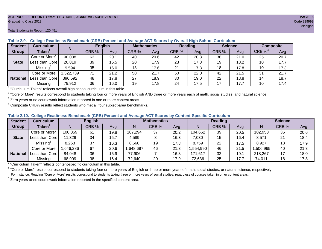#### **ACT PROFILE REPORT- State: SECTION II, ACADEMIC ACHIEVEMENT PAGE 16** Graduating Class 2013 Code 239999

#### Total Students in Report: 120,451

| <b>Student</b>  | <b>Curriculum</b>                       | N        | <b>English</b> |      | <b>Mathematics</b> |      | <b>Reading</b> |      |       | <b>Science</b> | <b>Composite</b> |      |
|-----------------|-----------------------------------------|----------|----------------|------|--------------------|------|----------------|------|-------|----------------|------------------|------|
| Group           | Taken $^{\scriptscriptstyle\mathsf{T}}$ |          | CRB %          | Avg  | CRB %              | Avg  | CRB %          | Avg  | CRB % | Ava            | $CRB\%4$         | Avg  |
|                 | Core or More <sup>2</sup>               | 90,038   | 63             | 20.1 | 40                 | 20.6 | 42             | 20.8 | 38    | 21.0           | 25               | 20.7 |
| <b>State</b>    | Less than Corel                         | 20,819   | 39             | 16.5 | 20                 | 17.9 | 23             | 17.8 | 19    | 18.2           | 10               | 17.7 |
|                 | Missing <sup>3</sup>                    | 9,594    | 35             | 16.0 | 18                 | 17.6 | 21             | 17.3 | 18    | 17.8           | 10               | 17.3 |
|                 | Core or More                            | ,322,739 | 71             | 21.2 | 50                 | 21.7 | 50             | 22.0 | 42    | 21.5           | 31               | 21.7 |
| <b>National</b> | Less than Core                          | 396,592  | 48             | 17.8 | 27                 | 18.9 | 30             | 19.0 | 22    | 18.8           | 14               | 18.7 |
|                 | Missing                                 | 79,912   | 36             | 16.0 | 19                 | 17.8 | 24             | 17.5 | 17    | 17.7           | 10               | 17.4 |

#### **Table 2.9. College Readiness Benchmark (CRB) Percent and Average ACT Scores by Overall High School Curriculum**

<sup>1</sup> "Curriculum Taken" reflects overall high school curriculum in this table.

 $^2$  "Core or More" results correspond to students taking four or more years of English AND three or more years each of math, social studies, and natural science.

 $3$  Zero years or no coursework information reported in one or more content areas.

 $4$  Composite CRB% results reflect students who met all four subject-area benchmarks.

#### **Table 2.10. College Readiness Benchmark (CRB) Percent and Average ACT Scores by Content-Specific Curriculum**

| <b>Student</b>  | <b>Curriculum</b>         |          | <b>English</b> |      |          | <b>Mathematics</b> |      |          | <b>Reading</b> |      |          | <b>Science</b> |      |  |
|-----------------|---------------------------|----------|----------------|------|----------|--------------------|------|----------|----------------|------|----------|----------------|------|--|
| Group           | <b>Taken</b>              |          | CRB %          | Avg  |          | CRB %              | Avg  | N        | CRB %          | Avg  | N        | CRB %          | Avg  |  |
|                 | Core or More <sup>2</sup> | 100,859  | 61             | 19.8 | 107,294  | 37                 | 20.2 | 104,662  | 39             | 20.5 | 102,953  | 35             | 20.6 |  |
| <b>State</b>    | Less than Core            | 11,329   | 34             | 15.7 | 4,589    |                    | 16.3 | 7,030    | 15             | 16.4 | 8,571    | 21             | 18.4 |  |
|                 | Missing <sup>3</sup>      | 8,263    | 37             | 16.3 | 8,568    | 19                 | 17.8 | 8,759    | 22             | 17.5 | 8,927    | 18             | 17.9 |  |
|                 | Core or More              | ,646,286 | 67             | 20.6 | ,648,697 | 46                 | 21.3 | .554,990 | 46             | 21.5 | ,506,965 | 40             | 21.3 |  |
| <b>National</b> | Less than Core            | 84,048   | 36             | 15.9 | 77,906   |                    | 16.3 | 171,617  | 32             | 19.1 | 218,267  |                | 18.0 |  |
|                 | Missing                   | 68,909   | 38             | 16.4 | 72,640   | 20                 | 17.9 | 72,636   | 25             | 17.7 | 74,011   | 18             | 17.8 |  |

<sup>1</sup>"Curriculum Taken" reflects content-specific curriculum in this table.

<sup>2</sup> "Core or More" results correspond to students taking four or more years of English or three or more years of math, social studies, or natural science, respectively. For instance, Reading "Core or More" results correspond to students taking three or more years of social studies, regardless of courses taken in other content areas.

 $3$  Zero years or no coursework information reported in the specified content area.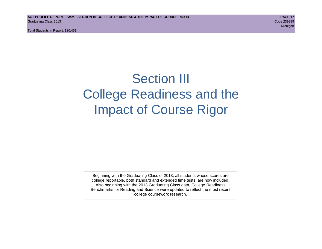Total Students in Report: 120,451

## Section III College Readiness and the Impact of Course Rigor

Beginning with the Graduating Class of 2013, all students whose scores are college reportable, both standard and extended time tests, are now included. Also beginning with the 2013 Graduating Class data, College Readiness Benchmarks for Reading and Science were updated to reflect the most recent college coursework research.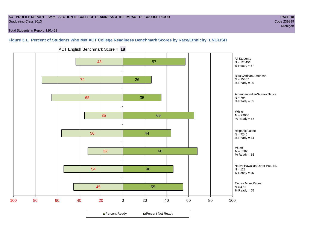#### **ACT PROFILE REPORT - State: SECTION III, COLLEGE READINESS & THE IMPACT OF COURSE RIGOR PAGE 18** Graduating Class 2013 Code 239999

michigan and the control of the control of the control of the control of the control of the control of the control of the control of the control of the control of the control of the control of the control of the control of

Total Students in Report: 120,451

#### **Figure 3.1. Percent of Students Who Met ACT College Readiness Benchmark Scores by Race/Ethnicity: ENGLISH**



ACT English Benchmark Score = **18**

**□ Percent Ready DPercent Not Ready**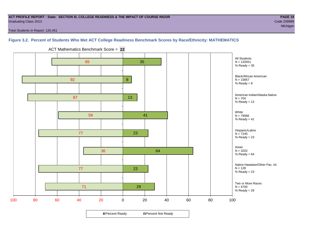#### **ACT PROFILE REPORT - State: SECTION III, COLLEGE READINESS & THE IMPACT OF COURSE RIGOR PAGE 19** Graduating Class 2013 Code 239999

Total Students in Report: 120,451

## **Figure 3.2. Percent of Students Who Met ACT College Readiness Benchmark Scores by Race/Ethnicity: MATHEMATICS**



ACT Mathematics Benchmark Score = **22**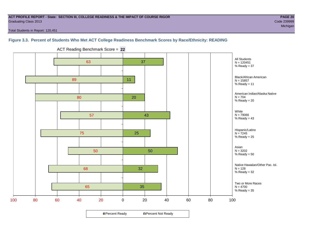#### **ACT PROFILE REPORT - State: SECTION III, COLLEGE READINESS & THE IMPACT OF COURSE RIGOR PAGE 20** Graduating Class 2013 Code 239999

Total Students in Report: 120,451

#### **Figure 3.3. Percent of Students Who Met ACT College Readiness Benchmark Scores by Race/Ethnicity: READING**



ACT Reading Benchmark Score = **22**

**□ Percent Ready DPercent Not Ready**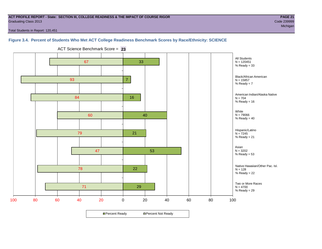#### **ACT PROFILE REPORT - State: SECTION III, COLLEGE READINESS & THE IMPACT OF COURSE RIGOR PAGE 21** Graduating Class 2013 Code 239999

michigan and the control of the control of the control of the control of the control of the control of the control of the control of the control of the control of the control of the control of the control of the control of

Total Students in Report: 120,451

#### **Figure 3.4. Percent of Students Who Met ACT College Readiness Benchmark Scores by Race/Ethnicity: SCIENCE**



ACT Science Benchmark Score = **23**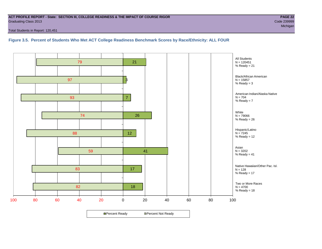#### **ACT PROFILE REPORT - State: SECTION III, COLLEGE READINESS & THE IMPACT OF COURSE RIGOR PAGE 22** Graduating Class 2013 Code 239999

Total Students in Report: 120,451

**Figure 3.5. Percent of Students Who Met ACT College Readiness Benchmark Scores by Race/Ethnicity: ALL FOUR**

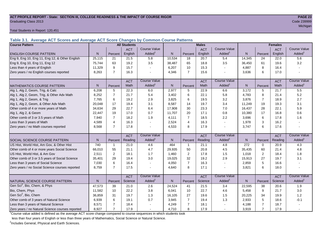#### **ACT PROFILE REPORT - State: SECTION III, COLLEGE READINESS & THE IMPACT OF COURSE RIGOR PAGE 23** Graduating Class 2013 Code 239999

Total Students in Report: 120,451

**Table 3.1. Average ACT Scores and Average ACT Score Changes by Common Course Patterns**

| <b>Course Pattern</b>                            |                |                | <b>All Students</b> |                     |                |                | <b>Males</b> |                     | <b>Females</b> |                |            |                        |
|--------------------------------------------------|----------------|----------------|---------------------|---------------------|----------------|----------------|--------------|---------------------|----------------|----------------|------------|------------------------|
|                                                  |                |                | <b>ACT</b>          | <b>Course Value</b> |                |                | <b>ACT</b>   | <b>Course Value</b> |                |                | <b>ACT</b> | <b>Course Value</b>    |
| <b>ENGLISH COURSE PATTERN</b>                    | N.             | Percent        | English             | Added               | N              | Percent        | English      | Added               | N              | Percent        | English    | A d d e d <sup>1</sup> |
| Eng 9, Eng 10, Eng 11, Eng 12, & Other English   | 25,115         | 21             | 21.5                | 5.8                 | 10,534         | 18             | 20.7         | 5.4                 | 14,345         | 24             | 22.0       | 5.6                    |
| Eng 9, Eng 10, Eng 11, Eng 12                    | 75.744         | 63             | 19.2                | 3.5                 | 38.487         | 65             | 18.8         | 3.5                 | 36,450         | 61             | 19.6       | 3.2                    |
| Less than 4 years of English                     | 11,329         | 9              | 15.7                |                     | 6,207          | 10             | 15.3         | $\sim$              | 4,887          | 8              | 16.4       |                        |
| Zero years / no English courses reported         | 8,263          | $\overline{7}$ | 16.3                |                     | 4,346          | $\overline{7}$ | 15.6         | $\blacksquare$      | 3,636          | 6              | 17.0       |                        |
|                                                  |                |                | <b>ACT</b>          | <b>Course Value</b> |                |                | <b>ACT</b>   | <b>Course Value</b> |                |                | <b>ACT</b> | <b>Course Value</b>    |
| <b>MATHEMATICS COURSE PATTERN</b>                | N.             | Percent        | Math                | Added               | $\mathsf{N}$   | Percent        | Math         | Added <sup>1</sup>  | $\mathsf{N}$   | Percent        | Math       | A d d e d <sup>1</sup> |
| Alg 1, Alg 2, Geom, Trig, & Calc                 | 6,208          | 5              | 22.3                | 6.0                 | 2,977          | 5              | 22.9         | 6.6                 | 3,172          | 5              | 21.7       | 5.5                    |
| Alg 1, Alg 2, Geom, Trig, & Other Adv Math       | 8,252          | $\overline{7}$ | 21.7                | 5.4                 | 3,402          | 6              | 22.1         | 5.8                 | 4,783          | 8              | 21.4       | 5.2                    |
| Alg 1, Alg 2, Geom, & Trig                       | 7.765          | 6              | 19.2                | 2.9                 | 3,825          | 6              | 19.5         | 3.2                 | 3,876          | $\overline{7}$ | 18.9       | 2.7                    |
| Alg 1, Alg 2, Geom, & Other Adv Math             | 20,048         | 17             | 19.4                | 3.1                 | 8,587          | 14             | 19.7         | 3.4                 | 11,249         | 19             | 19.3       | 3.1                    |
| Other comb of 4 or more years of Math            | 34,634         | 29             | 22.7                | 6.4                 | 17,908         | 30             | 23.3         | 7.0                 | 16,437         | 28             | 22.1       | 5.9                    |
| Alg 1, Alg 2, & Geom                             | 22,447         | 19             | 17.0                | 0.7                 | 11,707         | 20             | 17.1         | 0.8                 | 10,380         | 17             | 16.8       | 0.6                    |
| Other comb of 3 or 3.5 years of Math             | 7,940          | $\overline{7}$ | 18.2                | 1.9                 | 4,111          | $\overline{7}$ | 18.5         | 2.2                 | 3,696          | 6              | 17.8       | 1.6                    |
| Less than 3 years of Math                        | 4.589          | 4              | 16.3                |                     | 2,524          | $\overline{4}$ | 16.3         | $\sim$              | 1,978          | 3              | 16.2       |                        |
| Zero years / no Math courses reported            | 8,568          | $\overline{7}$ | 17.8                |                     | 4,533          | 8              | 17.9         | $\sim$              | 3,747          | 6              | 17.6       |                        |
|                                                  |                |                | <b>ACT</b>          | <b>Course Value</b> |                |                | <b>ACT</b>   | <b>Course Value</b> |                |                | <b>ACT</b> | <b>Course Value</b>    |
| SOCIAL SCIENCE COURSE PATTERN                    | N <sub>1</sub> | Percent        | Reading             | Added               | $\mathsf{N}$   | Percent        | Reading      | Added <sup>1</sup>  | N              | Percent        | Reading    | A d d e d <sup>1</sup> |
| US Hist, World Hist, Am Gov, & Other Hist        | 740            | 1              | 21.0                | 4.6                 | 464            | $\mathbf{1}$   | 21.1         | 4.8                 | 272            | 0              | 20.9       | 4.3                    |
| Other comb of 4 or more years Social Science     | 66,010         | 55             | 21.1                | 4.7                 | 29,935         | 50             | 20.8         | 4.5                 | 35,435         | 60             | 21.4       | 4.8                    |
| US Hist, World Hist, & Am Gov                    | 2,511          | $\overline{2}$ | 18.1                | 1.7                 | 1,460          | 2              | 17.8         | 1.5                 | 1,018          | $\mathbf{2}$   | 18.4       | 1.8                    |
| Other comb of 3 or 3.5 years of Social Science   | 35,401         | 29             | 19.4                | 3.0                 | 19,025         | 32             | 19.2         | 2.9                 | 15,913         | 27             | 19.7       | 3.1                    |
| Less than 3 years of Social Science              | 7,030          | 6              | 16.4                |                     | 4,050          | $\overline{7}$ | 16.3         | $\sim$              | 2,859          | 5              | 16.6       |                        |
| Zero years / no Social Science courses reported  | 8,759          | $\overline{7}$ | 17.5                |                     | 4,640          | 8              | 17.1         | $\sim$              | 3,821          | 6              | 18.0       |                        |
|                                                  |                |                | <b>ACT</b>          | <b>Course Value</b> |                |                | <b>ACT</b>   | <b>Course Value</b> |                |                | <b>ACT</b> | <b>Course Value</b>    |
| NATURAL SCIENCE COURSE PATTERN                   | N.             | Percent        | Science             | Added               | N <sub>1</sub> | Percent        | Science      | Added <sup>1</sup>  | $\mathsf{N}$   | Percent        | Science    | A d d e d <sup>1</sup> |
| Gen Sci <sup>2</sup> , Bio, Chem, & Phys         | 47,573         | 39             | 21.0                | 2.6                 | 24,524         | 41             | 21.5         | 3.4                 | 22,595         | 38             | 20.6       | 1.9                    |
| Bio, Chem, Phys                                  | 11,582         | 10             | 22.2                | 3.8                 | 6.041          | 10             | 22.7         | 4.6                 | 5,458          | 9              | 21.7       | 3.0                    |
| Gen Sci <sup>2</sup> , Bio, Chem                 | 36,859         | 31             | 19.7                | 1.3                 | 16,105         | 27             | 19.6         | 1.5                 | 20,225         | 34             | 19.9       | 1.2                    |
| Other comb of 3 years of Natural Science         | 6,939          | 6              | 19.1                | 0.7                 | 3,945          | $\overline{7}$ | 19.4         | 1.3                 | 2,933          | 5              | 18.6       | $-0.1$                 |
| Less than 3 years of Natural Science             | 8,571          |                | 18.4                |                     | 4,249          | $\overline{7}$ | 18.1         |                     | 4,188          | $\overline{7}$ | 18.7       |                        |
| Zero years / no Natural Science courses reported | 8,927          | $\overline{7}$ | 17.9                |                     | 4,710          | 8              | 17.9         | $\sim$              | 3,919          | $\overline{7}$ | 17.9       |                        |

<sup>1</sup>Course value added is defined as the average ACT score change compared to course sequences in which students took

less than four years of English or less than three years of Mathematics, Social Science or Natural Science.

<sup>2</sup>Includes General, Physical and Earth Sciences.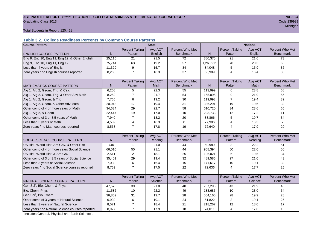## **ACT PROFILE REPORT - State: SECTION III, COLLEGE READINESS & THE IMPACT OF COURSE RIGOR PAGE 24** Graduating Class 2013 Code 239999

michigan and the control of the control of the control of the control of the control of the control of the control of the control of the control of the control of the control of the control of the control of the control of

Total Students in Report: 120,451

### **Table 3.2. College Readiness Percents by Common Course Patterns**

| <b>Course Pattern</b>                            |              |                       | <b>State</b> |                  | <b>National</b> |                       |         |                  |  |
|--------------------------------------------------|--------------|-----------------------|--------------|------------------|-----------------|-----------------------|---------|------------------|--|
|                                                  |              | <b>Percent Taking</b> | Avg ACT      | Percent Who Met  |                 | <b>Percent Taking</b> | Avg ACT | Percent Who Met  |  |
| <b>ENGLISH COURSE PATTERN</b>                    | $\mathsf{N}$ | Pattern               | English      | <b>Benchmark</b> | $\mathsf{N}$    | Pattern               | English | <b>Benchmark</b> |  |
| Eng 9, Eng 10, Eng 11, Eng 12, & Other English   | 25,115       | 21                    | 21.5         | 72               | 380,375         | 21                    | 21.6    | 73               |  |
| Eng 9, Eng 10, Eng 11, Eng 12                    | 75,744       | 63                    | 19.2         | 57               | 1,265,911       | 70                    | 20.3    | 65               |  |
| Less than 4 years of English                     | 11,329       | 9                     | 15.7         | 34               | 84,048          | 5                     | 15.9    | 36               |  |
| Zero years / no English courses reported         | 8,263        | $\overline{7}$        | 16.3         | 37               | 68,909          | 4                     | 16.4    | 38               |  |
|                                                  |              |                       |              |                  |                 |                       |         |                  |  |
|                                                  |              | <b>Percent Taking</b> | Avg ACT      | Percent Who Met  |                 | <b>Percent Taking</b> | Avg ACT | Percent Who Met  |  |
| <b>MATHEMATICS COURSE PATTERN</b>                | N            | Pattern               | <b>Math</b>  | <b>Benchmark</b> | N               | Pattern               | Math    | <b>Benchmark</b> |  |
| Alg 1, Alg 2, Geom, Trig, & Calc                 | 6,208        | 5                     | 22.3         | 55               | 113,999         | 6                     | 23.8    | 68               |  |
| Alg 1, Alg 2, Geom, Trig, & Other Adv Math       | 8,252        | 7                     | 21.7         | 54               | 155,095         | 9                     | 21.9    | 56               |  |
| Alg 1, Alg 2, Geom, & Trig                       | 7,765        | 6                     | 19.2         | 30               | 119,993         | $\overline{7}$        | 19.4    | 32               |  |
| Alg 1, Alg 2, Geom, & Other Adv Math             | 20,048       | 17                    | 19.4         | 31               | 336,291         | 19                    | 19.6    | 32               |  |
| Other comb of 4 or more years of Math            | 34,634       | 29                    | 22.7         | 58               | 610,720         | 34                    | 23.6    | 65               |  |
| Alg 1, Alg 2, & Geom                             | 22,447       | 19                    | 17.0         | 10               | 223,733         | 12                    | 17.2    | 11               |  |
| Other comb of 3 or 3.5 years of Math             | 7,940        | $\overline{7}$        | 18.2         | 20               | 88,866          | 5                     | 19.7    | 34               |  |
| Less than 3 years of Math                        | 4,589        | 4                     | 16.3         | 8                | 77,906          | 4                     | 16.3    | $\overline{7}$   |  |
| Zero years / no Math courses reported            | 8,568        | $\overline{7}$        | 17.8         | 19               | 72,640          | 4                     | 17.9    | 20               |  |
|                                                  |              |                       |              |                  |                 |                       |         |                  |  |
|                                                  |              | <b>Percent Taking</b> | Avg ACT      | Percent Who Met  |                 | <b>Percent Taking</b> | Avg ACT | Percent Who Met  |  |
| <b>SOCIAL SCIENCE COURSE PATTERN</b>             | $\mathsf{N}$ | Pattern               | Reading      | <b>Benchmark</b> | $\mathsf{N}$    | Pattern               | Reading | <b>Benchmark</b> |  |
| US Hist, World Hist, Am Gov, & Other Hist        | 740          | $\mathbf{1}$          | 21.0         | 44               | 50,989          | 3                     | 22.2    | 51               |  |
| Other comb of 4 or more years Social Science     | 66,010       | 55                    | 21.1         | 44               | 908,394         | 50                    | 22.0    | 50               |  |
| US Hist, World Hist, & Am Gov                    | 2,511        | $\overline{2}$        | 18.1         | 25               | 106,021         | 6                     | 19.5    | 34               |  |
| Other comb of 3 or 3.5 years of Social Science   | 35,401       | 29                    | 19.4         | 32               | 489,586         | 27                    | 21.0    | 43               |  |
| Less than 3 years of Social Science              | 7,030        | 6                     | 16.4         | 15               | 171,617         | 10                    | 19.1    | 32               |  |
| Zero years / no Social Science courses reported  | 8,759        | $\overline{7}$        | 17.5         | 22               | 72,636          | 4                     | 17.7    | 25               |  |
|                                                  |              |                       |              |                  |                 |                       |         |                  |  |
|                                                  |              | <b>Percent Taking</b> | Avg ACT      | Percent Who Met  |                 | <b>Percent Taking</b> | Avg ACT | Percent Who Met  |  |
| NATURAL SCIENCE COURSE PATTERN                   | N            | Pattern               | Science      | <b>Benchmark</b> | N               | Pattern               | Science | <b>Benchmark</b> |  |
| Gen Sci <sup>1</sup> , Bio, Chem, & Phys         | 47,573       | 39                    | 21.0         | 40               | 767,293         | 43                    | 21.9    | 46               |  |
| Bio, Chem, Phys                                  | 11,582       | 10                    | 22.2         | 49               | 183,685         | 10                    | 23.0    | 54               |  |
| Gen Sci <sup>1</sup> , Bio, Chem                 | 36,859       | 31                    | 19.7         | 28               | 504,165         | 28                    | 19.9    | 28               |  |
| Other comb of 3 years of Natural Science         | 6,939        | 6                     | 19.1         | 24               | 51,822          | 3                     | 19.1    | 25               |  |
| Less than 3 years of Natural Science             | 8,571        | 7                     | 18.4         | 21               | 218,267         | 12                    | 18.0    | 17               |  |
| Zero years / no Natural Science courses reported | 8,927        | $\overline{7}$        | 17.9         | 18               | 74,011          | 4                     | 17.8    | 18               |  |

<sup>1</sup>Includes General, Physical and Earth Sciences.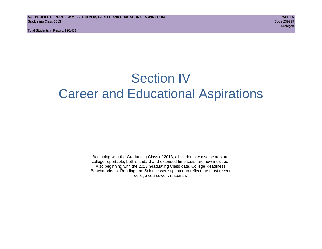Total Students in Report: 120,451

## Section IV Career and Educational Aspirations

Beginning with the Graduating Class of 2013, all students whose scores are college reportable, both standard and extended time tests, are now included. Also beginning with the 2013 Graduating Class data, College Readiness Benchmarks for Reading and Science were updated to reflect the most recent college coursework research.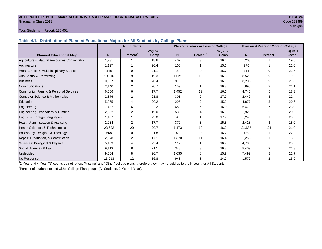#### **ACT PROFILE REPORT - State: SECTION IV, CAREER AND EDUCATIONAL ASPIRATIONS PAGE 26** Graduating Class 2013 Code 239999

## michigan and the control of the control of the control of the control of the control of the control of the control of the control of the control of the control of the control of the control of the control of the control of

#### Total Students in Report: 120,451

**Table 4.1. Distribution of Planned Educational Majors for All Students by College Plans**

|                                              |                | <b>All Students</b>  |                 | Plan on 2 Years or Less of College |                      |                 | Plan on 4 Years or More of College |                      |                 |  |
|----------------------------------------------|----------------|----------------------|-----------------|------------------------------------|----------------------|-----------------|------------------------------------|----------------------|-----------------|--|
| <b>Planned Educational Major</b>             | N <sup>1</sup> | Percent <sup>2</sup> | Avg ACT<br>Comp | N.                                 | Percent <sup>2</sup> | Avg ACT<br>Comp | N                                  | Percent <sup>2</sup> | Avg ACT<br>Comp |  |
| Agriculture & Natural Resources Conservation | 1,731          |                      | 18.6            | 402                                | 3                    | 16.4            | 1,208                              |                      | 19.6            |  |
| Architecture                                 | 1,127          |                      | 20.4            | 100                                |                      | 15.6            | 976                                |                      | 21.0            |  |
| Area, Ethnic, & Multidisciplinary Studies    | 148            | $\Omega$             | 21.1            | 23                                 | $\Omega$             | 15.7            | 114                                | $\Omega$             | 22.5            |  |
| Arts: Visual & Performing                    | 10,910         | 9                    | 19.3            | 1,621                              | 13                   | 16.3            | 8,529                              | 9                    | 19.9            |  |
| <b>Business</b>                              | 9,567          | 8                    | 20.4            | 973                                | 8                    | 16.3            | 8,205                              | 9                    | 21.0            |  |
| Communications                               | 2,140          | $\overline{2}$       | 20.7            | 159                                |                      | 16.3            | 1,896                              | $\overline{2}$       | 21.1            |  |
| Community, Family, & Personal Services       | 6,656          | 6                    | 17.7            | 1,452                              | 12                   | 16.1            | 4,745                              | 5                    | 18.3            |  |
| <b>Computer Science &amp; Mathematics</b>    | 2,876          | $\overline{2}$       | 21.8            | 301                                | 2                    | 17.7            | 2,442                              | 3                    | 22.4            |  |
| Education                                    | 5,365          | 4                    | 20.2            | 295                                | 2                    | 15.9            | 4,877                              | 5                    | 20.6            |  |
| Engineering                                  | 7,487          | 6                    | 22.2            | 689                                | 6                    | 16.0            | 6,479                              |                      | 23.0            |  |
| Engineering Technology & Drafting            | 2,582          | 2                    | 19.0            | 535                                | 4                    | 16.1            | 1,920                              | $\overline{2}$       | 20.0            |  |
| English & Foreign Languages                  | 1,407          |                      | 23.0            | 98                                 |                      | 17.9            | 1,243                              |                      | 23.5            |  |
| Health Administration & Assisting            | 2,934          | $\overline{2}$       | 17.7            | 379                                | 3                    | 15.8            | 2,428                              | 3                    | 18.0            |  |
| Health Sciences & Technologies               | 23,622         | 20                   | 20.7            | 1,173                              | 10                   | 16.3            | 21,685                             | 24                   | 21.0            |  |
| Philosophy, Religion, & Theology             | 568            | 0                    | 21.8            | 43                                 | $\Omega$             | 16.7            | 489                                |                      | 22.2            |  |
| Repair, Production, & Construction           | 2,878          | $\overline{2}$       | 17.1            | 1,370                              | 11                   | 16.4            | 1,253                              |                      | 18.0            |  |
| Sciences: Biological & Physical              | 5,103          | 4                    | 23.4            | 117                                |                      | 16.9            | 4,788                              | 5                    | 23.6            |  |
| Social Sciences & Law                        | 9,113          | 8                    | 21.1            | 348                                | 3                    | 16.3            | 8,409                              | 9                    | 21.3            |  |
| Undecided                                    | 9,664          | 8                    | 20.7            | 1,035                              | 8                    | 15.9            | 7,492                              | 8                    | 21.7            |  |
| No Response                                  | 13,913         | 12                   | 16.8            | 948                                | 8                    | 14.2            | 1,572                              | 2                    | 15.9            |  |

1 2-Year and 4-Year "N" counts do not reflect "Missing" and "Other" college plans, therefore they may not add up to the N count for All Students.

<sup>2</sup> Percent of students tested within College Plan groups (All Students, 2-Year, 4-Year).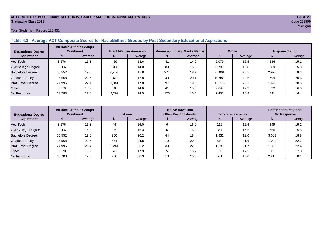#### **ACT PROFILE REPORT - State: SECTION IV, CAREER AND EDUCATIONAL ASPIRATIONS PAGE 27** Graduating Class 2013 Code 239999

Total Students in Report: 120,451

#### **Table 4.2. Average ACT Composite Scores for Racial/Ethnic Groups by Post-Secondary Educational Aspirations**

| <b>Educational Degree</b> | <b>All Racial/Ethnic Groups</b><br><b>Combined</b> |         | <b>Black/African American</b> |         |     | American Indian/ Alaska Native |        | White   | Hispanic/Latino |         |  |
|---------------------------|----------------------------------------------------|---------|-------------------------------|---------|-----|--------------------------------|--------|---------|-----------------|---------|--|
| <b>Aspirations</b>        | N                                                  | Average | N.                            | Average | N   | Average                        | N      | Average | N               | Average |  |
| Voc-Tech                  | 3,276                                              | 15.8    | 459                           | 13.6    | 41  | 14.2                           | 2,079  | 16.5    | 234             | 15.1    |  |
| 2-yr College Degree       | 9,006                                              | 16.2    | 1,333                         | 14.0    | 80  | 15.0                           | 5,789  | 16.8    | 689             | 15.3    |  |
| <b>Bachelors Degree</b>   | 50,552                                             | 19.6    | 6.458                         | 15.8    | 277 | 18.2                           | 35,001 | 20.5    | 2,978           | 18.2    |  |
| <b>Graduate Study</b>     | 15.568                                             | 22.7    | 1.619                         | 17.8    | 43  | 20.1                           | 10.982 | 23.6    | 799             | 20.6    |  |
| Prof. Level Degree        | 24,996                                             | 22.4    | 3,341                         | 17.8    | 97  | 19.5                           | 15,713 | 23.3    | 1,492           | 20.5    |  |
| Other                     | 3.270                                              | 16.9    | 348                           | 14.6    | 41  | 15.3                           | 2,047  | 17.3    | 222             | 16.0    |  |
| No Response               | 13,783                                             | 17.8    | 2,299                         | 14.5    | 125 | 15.5                           | 7,455  | 18.8    | 831             | 16.4    |  |

| <b>Educational Degree</b> | <b>All Racial/Ethnic Groups</b><br><b>Combined</b> |         | Asian |         | Native Hawaiian/<br><b>Other Pacific Islander</b> |         | Two or more races |         | Prefer not to respond/<br><b>No Response</b> |         |  |
|---------------------------|----------------------------------------------------|---------|-------|---------|---------------------------------------------------|---------|-------------------|---------|----------------------------------------------|---------|--|
| <b>Aspirations</b>        | N <sub>1</sub>                                     | Average | N     | Average | N                                                 | Average | Ν                 | Average | N                                            | Average |  |
| Voc-Tech                  | 3,276                                              | 15.8    | 46    | 16.0    | 6                                                 | 16.2    | 112               | 15.6    | 299                                          | 15.2    |  |
| 2-yr College Degree       | 9,006                                              | 16.2    | 96    | 15.3    | 6                                                 | 16.2    | 357               | 16.5    | 656                                          | 15.5    |  |
| <b>Bachelors Degree</b>   | 50,552                                             | 19.6    | 900   | 20.2    | 44                                                | 18.4    | 1,831             | 19.0    | 3,063                                        | 18.8    |  |
| <b>Graduate Study</b>     | 15,568                                             | 22.7    | 554   | 24.8    | 19                                                | 20.0    | 510               | 21.6    | 1.042                                        | 22.2    |  |
| Prof. Level Degree        | 24,996                                             | 22.4    | 1.244 | 26.2    | 30                                                | 22.0    | 1,189             | 21.7    | 1,890                                        | 22.4    |  |
| Other                     | 3,270                                              | 16.9    | 76    | 17.9    |                                                   | 15.2    | 150               | 17.5    | 381                                          | 17.0    |  |
| No Response               | 13,783                                             | 17.8    | 286   | 20.3    | 18                                                | 15.3    | 551               | 18.0    | 2,218                                        | 18.1    |  |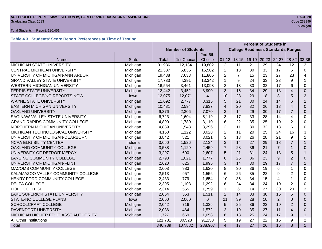## **ACT PROFILE REPORT - State: SECTION IV, CAREER AND EDUCATIONAL ASPIRATIONS PAGE 28** Graduating Class 2013 Code 239999

#### Total Students in Report: 120,451

### **Table 4.3. Students' Score Report Preferences at Time of Testing**

|                                       |              |                           |                                           |                | <b>Percent of Students in</b> |                 |                 |                 |                |                |                |
|---------------------------------------|--------------|---------------------------|-------------------------------------------|----------------|-------------------------------|-----------------|-----------------|-----------------|----------------|----------------|----------------|
|                                       |              | <b>Number of Students</b> | <b>College Readiness Standards Ranges</b> |                |                               |                 |                 |                 |                |                |                |
|                                       |              | 2nd-6th                   |                                           |                |                               |                 |                 |                 |                |                |                |
| Name                                  | <b>State</b> | Total                     | 1st Choice                                | Choice         | $01 - 12$                     | $13 - 15$       | $16-19$         | $20 - 23$       | 24-27          | $28-32$        | 33-36          |
| MICHIGAN STATE UNIVERSITY             | Michigan     | 31,936                    | 12,134                                    | 19,802         | $\overline{2}$                | 11              | 21              | 29              | 24             | 12             | 2              |
| CENTRAL MICHIGAN UNIVERSITY           | Michigan     | 21,337                    | 5,835                                     | 15,502         | $\overline{2}$                | 13              | 30              | 33              | 17             | 5              | $\Omega$       |
| UNIVERSITY OF MICHIGAN-ANN ARBOR      | Michigan     | 19,438                    | 7,633                                     | 11,805         | $\overline{2}$                | $\overline{7}$  | 15              | 23              | 27             | 23             | 4              |
| <b>GRAND VALLEY STATE UNIVERSITY</b>  | Michigan     | 17,733                    | 4,391                                     | 13,342         | 1                             | 9               | 24              | 33              | 23             | 9              | 1              |
| <b>WESTERN MICHIGAN UNIVERSITY</b>    | Michigan     | 16,554                    | 3,461                                     | 13,093         | $\overline{2}$                | 13              | 30              | 32              | 17             | 6              | 0              |
| <b>FERRIS STATE UNIVERSITY</b>        | Michigan     | 12,442                    | 3,452                                     | 8,990          | 3                             | 16              | 34              | 29              | 13             | 4              | $\Omega$       |
| STATE-COLLEGE/NO REPORTS NOW          | lowa         | 12,075                    | 12,071                                    | $\overline{4}$ | 10                            | 28              | 29              | 18              | 8              | 5              | $\overline{2}$ |
| <b>WAYNE STATE UNIVERSITY</b>         | Michigan     | 11,092                    | 2,777                                     | 8,315          | 5                             | 21              | 30              | 24              | 14             | 6              | $\mathbf{1}$   |
| <b>EASTERN MICHIGAN UNIVERSITY</b>    | Michigan     | 10,431                    | 2,594                                     | 7,837          | $\overline{\mathcal{A}}$      | 20              | 32              | 26              | 13             | $\overline{4}$ | 0              |
| <b>OAKLAND UNIVERSITY</b>             | Michigan     | 9,376                     | 2,306                                     | 7,070          | 3                             | 14              | 29              | 30              | 17             | $\overline{7}$ | $\mathbf{0}$   |
| SAGINAW VALLEY STATE UNIVERSITY       | Michigan     | 6,723                     | 1,604                                     | 5,119          | 3                             | 17              | 33              | 28              | 14             | $\overline{4}$ | $\Omega$       |
| <b>GRAND RAPIDS COMMUNITY COLLEGE</b> | Michigan     | 4,890                     | 1,780                                     | 3,110          | 6                             | 22              | 35              | 25              | 10             | $\overline{2}$ | 0              |
| NORTHERN MICHIGAN UNIVERSITY          | Michigan     | 4,839                     | 1,543                                     | 3,296          | $\overline{2}$                | 11              | 30              | 32              | 18             | 6              | 0              |
| MICHIGAN TECHNOLOGICAL UNIVERSITY     | Michigan     | 4,150                     | 1,122                                     | 3,028          | $\overline{2}$                | 11              | 20              | 25              | 24             | 16             | 3              |
| UNIVERSITY OF MICHIGAN-DEARBORN       | Michigan     | 3,842                     | 821                                       | 3,021          | 3                             | 13              | 26              | 28              | 21             | 9              | $\mathbf{1}$   |
| <b>NCAA ELIGIBILITY CENTER</b>        | Indiana      | 3,660                     | 1,526                                     | 2,134          | 3                             | 14              | 27              | 29              | 18             | $\overline{7}$ | $\mathbf{1}$   |
| OAKLAND COMMUNITY COLLEGE             | Michigan     | 3,588                     | 1,129                                     | 2,459          | $\overline{7}$                | 28              | 36              | 21              | $\overline{7}$ |                | $\Omega$       |
| UNIVERSITY OF DETROIT MERCY           | Michigan     | 3,297                     | 690                                       | 2,607          | 5                             | 21              | 31              | 24              | 13             | 5              |                |
| <b>LANSING COMMUNITY COLLEGE</b>      | Michigan     | 2,798                     | 1,021                                     | 1,777          | 6                             | 25              | 36              | 23              | 9              | $\overline{2}$ | $\Omega$       |
| UNIVERSITY OF MICHIGAN-FLINT          | Michigan     | 2,620                     | 625                                       | 1,995          | 3                             | 14              | 30              | 29              | 17             | $\overline{7}$ | $\mathbf{1}$   |
| MACOMB COMMUNITY COLLEGE              | Michigan     | 2,603                     | 983                                       | 1,620          | 8                             | 30              | 36              | 19              | 6              | 1              | $\Omega$       |
| KALAMAZOO VALLEY COMMUNITY COLLEGE    | Michigan     | 2,513                     | 957                                       | 1,556          | 6                             | 26              | 35              | 22              | $9\,$          | $\overline{2}$ | 0              |
| HENRY FORD COMMUNITY COLLEGE          | Michigan     | 2,433                     | 779                                       | 1,654          | 10                            | 36              | 34              | 15              | 4              |                | 0              |
| <b>DELTA COLLEGE</b>                  | Michigan     | 2,395                     | 1,103                                     | 1,292          | 6                             | 24              | 34              | 24              | 10             | $\overline{2}$ | 0              |
| <b>HOPE COLLEGE</b>                   | Michigan     | 2,314                     | 555                                       | 1,759          | $\mathbf{1}$                  | 6               | 14              | 27              | 30             | 20             | 3              |
| LAKE SUPERIOR STATE UNIVERSITY        | Michigan     | 2,064                     | 553                                       | 1,511          | $\overline{2}$                | 14              | 33              | 30              | 16             | 5              | $\Omega$       |
| STATE-NO COLLEGE PLANS                | lowa         | 2,060                     | 2,060                                     | $\Omega$       | 21                            | 39              | 28              | 10              | 2              | $\Omega$       | 0              |
| SCHOOLCRAFT COLLEGE                   | Michigan     | 2,042                     | 716                                       | 1,326          | 5                             | 25              | 36              | 23              | 10             | $\overline{2}$ | $\Omega$       |
| <b>DAVENPORT UNIVERSITY</b>           | Michigan     | 2,036                     | 464                                       | 1,572          | 3                             | 19              | 35              | 27              | 11             | 4              | $\Omega$       |
| MICHIGAN HIGHER EDUC ASST AUTHORITY   | Michigan     | 1,727                     | 669                                       | 1,058          | 6                             | 18              | 25              | 24              | 17             | 9              | $\mathbf{1}$   |
| All Other Institutions                |              | 121,781                   | 30,528                                    | 91,253         | 5                             | 19              | 27              | 22              | 15             | 9              | $\overline{2}$ |
| Total                                 |              | 346,789                   | 107,882                                   | 238,907        | $\overline{4}$                | $\overline{17}$ | $\overline{27}$ | $\overline{26}$ | 16             | 8              | $\mathbf{1}$   |

and the control of the control of the control of the control of the control of the control of the control of the control of the control of the control of the control of the control of the control of the control of the cont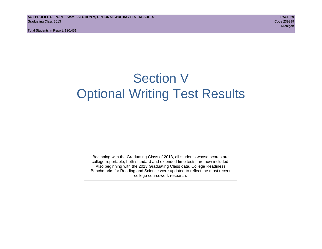## Section V Optional Writing Test Results

Beginning with the Graduating Class of 2013, all students whose scores are college reportable, both standard and extended time tests, are now included. Also beginning with the 2013 Graduating Class data, College Readiness Benchmarks for Reading and Science were updated to reflect the most recent college coursework research.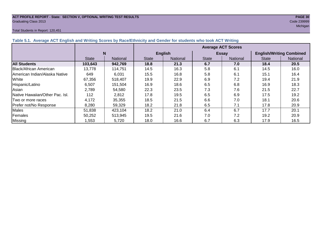## **ACT PROFILE REPORT - State: SECTION V, OPTIONAL WRITING TEST RESULTS PAGE 30** Graduating Class 2013 Code 239999

#### Total Students in Report: 120,451

michigan and the control of the control of the control of the control of the control of the control of the control of the control of the control of the control of the control of the control of the control of the control of

| Table 5.1. Average ACT English and Writing Scores by Race/Ethnicity and Gender for students who took ACT Writing |              |          |                           |                 |              |                 |                                 |          |  |  |  |
|------------------------------------------------------------------------------------------------------------------|--------------|----------|---------------------------|-----------------|--------------|-----------------|---------------------------------|----------|--|--|--|
|                                                                                                                  |              |          | <b>Average ACT Scores</b> |                 |              |                 |                                 |          |  |  |  |
|                                                                                                                  | N            |          |                           | <b>English</b>  |              | <b>Essay</b>    | <b>English/Writing Combined</b> |          |  |  |  |
|                                                                                                                  | <b>State</b> | National | <b>State</b>              | <b>National</b> | <b>State</b> | <b>National</b> | <b>State</b>                    | National |  |  |  |
| <b>All Students</b>                                                                                              | 103,643      | 942,769  | 18.8                      | 21.3            | 6.7          | 7.0             | 18.4                            | 20.5     |  |  |  |
| Black/African American                                                                                           | 13,778       | 114,751  | 14.5                      | 16.3            | 5.8          | 6.1             | 14.5                            | 16.0     |  |  |  |
| IAmerican Indian/Alaska Native                                                                                   | 649          | 6,031    | 15.5                      | 16.8            | 5.8          | 6.1             | 15.1                            | 16.4     |  |  |  |
| White                                                                                                            | 67,356       | 518.407  | 19.9                      | 22.9            | 6.9          | 7.2             | 19.4                            | 21.9     |  |  |  |
| Hispanic/Latino                                                                                                  | 6,507        | 151,504  | 16.9                      | 18.6            | 6.5          | 6.8             | 16.9                            | 18.3     |  |  |  |
| Asian                                                                                                            | 2,789        | 54,580   | 22.3                      | 23.5            | 7.3          | 7.6             | 21.5                            | 22.7     |  |  |  |
| Native Hawaiian/Other Pac. Isl.                                                                                  | 112          | 2,812    | 17.8                      | 19.5            | 6.5          | 6.9             | 17.5                            | 19.2     |  |  |  |
| Two or more races                                                                                                | 4,172        | 35,355   | 18.5                      | 21.5            | 6.6          | 7.0             | 18.1                            | 20.6     |  |  |  |
| Prefer not/No Response                                                                                           | 8,280        | 59,329   | 18.2                      | 21.8            | 6.5          | 7.1             | 17.8                            | 20.9     |  |  |  |
| <b>Males</b>                                                                                                     | 51,838       | 423,104  | 18.2                      | 21.0            | 6.4          | 6.7             | 17.7                            | 20.1     |  |  |  |
| Females                                                                                                          | 50,252       | 513,945  | 19.5                      | 21.6            | 7.0          | 7.2             | 19.2                            | 20.9     |  |  |  |
| <b>Missing</b>                                                                                                   | 1,553        | 5,720    | 18.0                      | 16.6            | 6.7          | 6.3             | 17.9                            | 16.5     |  |  |  |